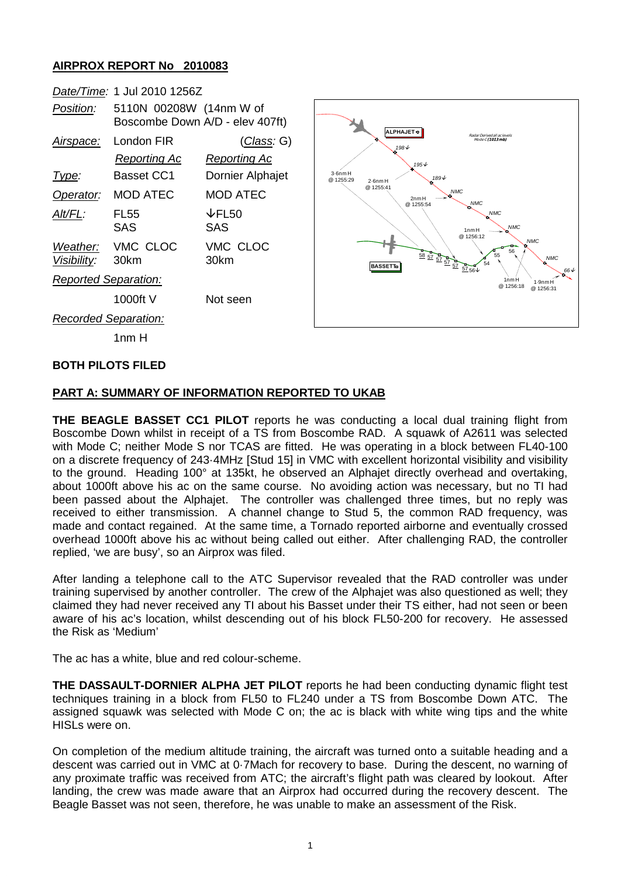## **AIRPROX REPORT No 2010083**

|                                                                                                             | Date/Time: 1 Jul 2010 1256Z                                                                                                                                    |                                                                                                                                                            |                                                                                                                                                                                                                                                                                                                                                                                                                                                                   |
|-------------------------------------------------------------------------------------------------------------|----------------------------------------------------------------------------------------------------------------------------------------------------------------|------------------------------------------------------------------------------------------------------------------------------------------------------------|-------------------------------------------------------------------------------------------------------------------------------------------------------------------------------------------------------------------------------------------------------------------------------------------------------------------------------------------------------------------------------------------------------------------------------------------------------------------|
| Position:                                                                                                   | 5110N 00208W (14nm W of                                                                                                                                        | Boscombe Down A/D - elev 407ft)                                                                                                                            |                                                                                                                                                                                                                                                                                                                                                                                                                                                                   |
| <u>Airspace:</u><br>Type:<br>Operator:<br>Alt/FL:<br>Weather:<br>Visibility:<br><b>Reported Separation:</b> | London FIR<br><b>Reporting Ac</b><br><b>Basset CC1</b><br><b>MOD ATEC</b><br><b>FL55</b><br><b>SAS</b><br>VMC CLOC<br>30km<br>1000ft V<br>Recorded Separation: | <u>(Class</u> : G)<br><b>Reporting Ac</b><br><b>Dornier Alphajet</b><br><b>MOD ATEC</b><br>$\downarrow$ FL50<br><b>SAS</b><br>VMC CLOC<br>30km<br>Not seen | <b>ALPHAJET ®</b><br>Radar Derived all ac levels<br>Mode C (1013 mb)<br>198V<br>195↓<br>$3.6$ nm $H$<br>189↓<br>@ 1255:29<br>$2.6$ nm $H$<br>@ 1255:41<br><b>NMC</b><br>'n.<br>2nm H<br><b>NMC</b><br>@ 1255:54<br><b>NMC</b><br>'n.<br><b>NMC</b><br>1nmH<br>@ 1256:12<br><b>NMC</b><br>56<br>$\frac{58}{22} \frac{57}{27} \frac{57}{27} \frac{57}{27} \frac{67}{26}$<br>55<br><b>NMC</b><br>w.<br><b>BASSETT</b><br>1nmH<br>$1.9$ nm H<br>@1256:18<br>@ 1256:31 |
|                                                                                                             | 1 <sub>nm</sub> H                                                                                                                                              |                                                                                                                                                            |                                                                                                                                                                                                                                                                                                                                                                                                                                                                   |

**66** ↓

#### **BOTH PILOTS FILED**

#### **PART A: SUMMARY OF INFORMATION REPORTED TO UKAB**

**THE BEAGLE BASSET CC1 PILOT** reports he was conducting a local dual training flight from Boscombe Down whilst in receipt of a TS from Boscombe RAD. A squawk of A2611 was selected with Mode C; neither Mode S nor TCAS are fitted. He was operating in a block between FL40-100 on a discrete frequency of 243·4MHz [Stud 15] in VMC with excellent horizontal visibility and visibility to the ground. Heading 100° at 135kt, he observed an Alphajet directly overhead and overtaking, about 1000ft above his ac on the same course. No avoiding action was necessary, but no TI had been passed about the Alphajet. The controller was challenged three times, but no reply was received to either transmission. A channel change to Stud 5, the common RAD frequency, was made and contact regained. At the same time, a Tornado reported airborne and eventually crossed overhead 1000ft above his ac without being called out either. After challenging RAD, the controller replied, 'we are busy', so an Airprox was filed.

After landing a telephone call to the ATC Supervisor revealed that the RAD controller was under training supervised by another controller. The crew of the Alphajet was also questioned as well; they claimed they had never received any TI about his Basset under their TS either, had not seen or been aware of his ac's location, whilst descending out of his block FL50-200 for recovery. He assessed the Risk as 'Medium'

The ac has a white, blue and red colour-scheme.

**THE DASSAULT-DORNIER ALPHA JET PILOT** reports he had been conducting dynamic flight test techniques training in a block from FL50 to FL240 under a TS from Boscombe Down ATC. The assigned squawk was selected with Mode C on; the ac is black with white wing tips and the white HISLs were on.

On completion of the medium altitude training, the aircraft was turned onto a suitable heading and a descent was carried out in VMC at 0·7Mach for recovery to base. During the descent, no warning of any proximate traffic was received from ATC; the aircraft's flight path was cleared by lookout. After landing, the crew was made aware that an Airprox had occurred during the recovery descent. The Beagle Basset was not seen, therefore, he was unable to make an assessment of the Risk.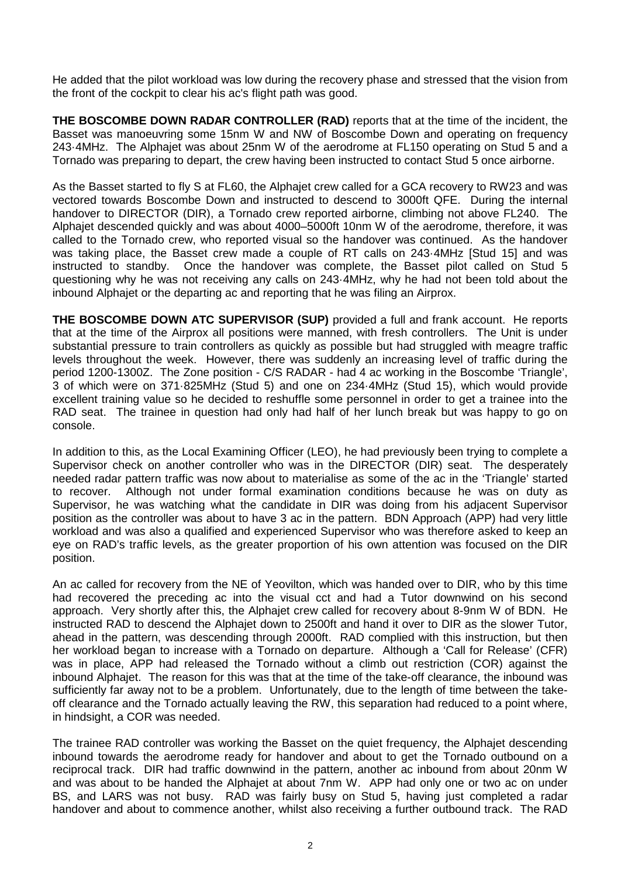He added that the pilot workload was low during the recovery phase and stressed that the vision from the front of the cockpit to clear his ac's flight path was good.

**THE BOSCOMBE DOWN RADAR CONTROLLER (RAD)** reports that at the time of the incident, the Basset was manoeuvring some 15nm W and NW of Boscombe Down and operating on frequency 243·4MHz. The Alphajet was about 25nm W of the aerodrome at FL150 operating on Stud 5 and a Tornado was preparing to depart, the crew having been instructed to contact Stud 5 once airborne.

As the Basset started to fly S at FL60, the Alphajet crew called for a GCA recovery to RW23 and was vectored towards Boscombe Down and instructed to descend to 3000ft QFE. During the internal handover to DIRECTOR (DIR), a Tornado crew reported airborne, climbing not above FL240. The Alphajet descended quickly and was about 4000–5000ft 10nm W of the aerodrome, therefore, it was called to the Tornado crew, who reported visual so the handover was continued. As the handover was taking place, the Basset crew made a couple of RT calls on 243·4MHz [Stud 15] and was instructed to standby. Once the handover was complete, the Basset pilot called on Stud 5 questioning why he was not receiving any calls on 243·4MHz, why he had not been told about the inbound Alphajet or the departing ac and reporting that he was filing an Airprox.

**THE BOSCOMBE DOWN ATC SUPERVISOR (SUP)** provided a full and frank account. He reports that at the time of the Airprox all positions were manned, with fresh controllers. The Unit is under substantial pressure to train controllers as quickly as possible but had struggled with meagre traffic levels throughout the week. However, there was suddenly an increasing level of traffic during the period 1200-1300Z. The Zone position - C/S RADAR - had 4 ac working in the Boscombe 'Triangle', 3 of which were on 371·825MHz (Stud 5) and one on 234·4MHz (Stud 15), which would provide excellent training value so he decided to reshuffle some personnel in order to get a trainee into the RAD seat. The trainee in question had only had half of her lunch break but was happy to go on console.

In addition to this, as the Local Examining Officer (LEO), he had previously been trying to complete a Supervisor check on another controller who was in the DIRECTOR (DIR) seat. The desperately needed radar pattern traffic was now about to materialise as some of the ac in the 'Triangle' started to recover. Although not under formal examination conditions because he was on duty as Supervisor, he was watching what the candidate in DIR was doing from his adjacent Supervisor position as the controller was about to have 3 ac in the pattern. BDN Approach (APP) had very little workload and was also a qualified and experienced Supervisor who was therefore asked to keep an eye on RAD's traffic levels, as the greater proportion of his own attention was focused on the DIR position.

An ac called for recovery from the NE of Yeovilton, which was handed over to DIR, who by this time had recovered the preceding ac into the visual cct and had a Tutor downwind on his second approach. Very shortly after this, the Alphajet crew called for recovery about 8-9nm W of BDN. He instructed RAD to descend the Alphajet down to 2500ft and hand it over to DIR as the slower Tutor, ahead in the pattern, was descending through 2000ft. RAD complied with this instruction, but then her workload began to increase with a Tornado on departure. Although a 'Call for Release' (CFR) was in place, APP had released the Tornado without a climb out restriction (COR) against the inbound Alphajet. The reason for this was that at the time of the take-off clearance, the inbound was sufficiently far away not to be a problem. Unfortunately, due to the length of time between the takeoff clearance and the Tornado actually leaving the RW, this separation had reduced to a point where, in hindsight, a COR was needed.

The trainee RAD controller was working the Basset on the quiet frequency, the Alphajet descending inbound towards the aerodrome ready for handover and about to get the Tornado outbound on a reciprocal track. DIR had traffic downwind in the pattern, another ac inbound from about 20nm W and was about to be handed the Alphajet at about 7nm W. APP had only one or two ac on under BS, and LARS was not busy. RAD was fairly busy on Stud 5, having just completed a radar handover and about to commence another, whilst also receiving a further outbound track. The RAD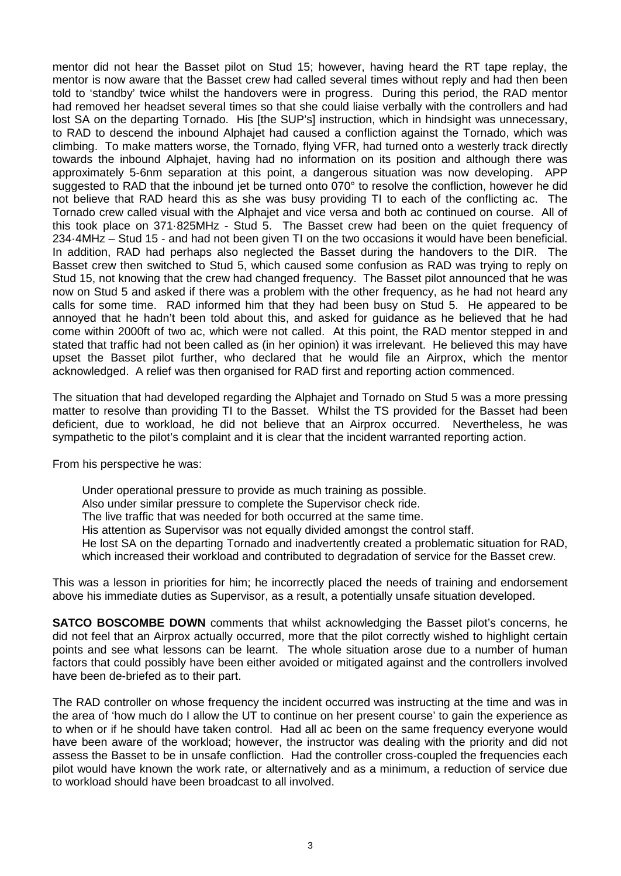mentor did not hear the Basset pilot on Stud 15; however, having heard the RT tape replay, the mentor is now aware that the Basset crew had called several times without reply and had then been told to 'standby' twice whilst the handovers were in progress. During this period, the RAD mentor had removed her headset several times so that she could liaise verbally with the controllers and had lost SA on the departing Tornado. His [the SUP's] instruction, which in hindsight was unnecessary, to RAD to descend the inbound Alphajet had caused a confliction against the Tornado, which was climbing. To make matters worse, the Tornado, flying VFR, had turned onto a westerly track directly towards the inbound Alphajet, having had no information on its position and although there was approximately 5-6nm separation at this point, a dangerous situation was now developing. APP suggested to RAD that the inbound jet be turned onto 070° to resolve the confliction, however he did not believe that RAD heard this as she was busy providing TI to each of the conflicting ac. The Tornado crew called visual with the Alphajet and vice versa and both ac continued on course. All of this took place on 371·825MHz - Stud 5. The Basset crew had been on the quiet frequency of 234·4MHz – Stud 15 - and had not been given TI on the two occasions it would have been beneficial. In addition, RAD had perhaps also neglected the Basset during the handovers to the DIR. The Basset crew then switched to Stud 5, which caused some confusion as RAD was trying to reply on Stud 15, not knowing that the crew had changed frequency. The Basset pilot announced that he was now on Stud 5 and asked if there was a problem with the other frequency, as he had not heard any calls for some time. RAD informed him that they had been busy on Stud 5. He appeared to be annoyed that he hadn't been told about this, and asked for guidance as he believed that he had come within 2000ft of two ac, which were not called. At this point, the RAD mentor stepped in and stated that traffic had not been called as (in her opinion) it was irrelevant. He believed this may have upset the Basset pilot further, who declared that he would file an Airprox, which the mentor acknowledged. A relief was then organised for RAD first and reporting action commenced.

The situation that had developed regarding the Alphajet and Tornado on Stud 5 was a more pressing matter to resolve than providing TI to the Basset. Whilst the TS provided for the Basset had been deficient, due to workload, he did not believe that an Airprox occurred. Nevertheless, he was sympathetic to the pilot's complaint and it is clear that the incident warranted reporting action.

From his perspective he was:

Under operational pressure to provide as much training as possible. Also under similar pressure to complete the Supervisor check ride. The live traffic that was needed for both occurred at the same time. His attention as Supervisor was not equally divided amongst the control staff. He lost SA on the departing Tornado and inadvertently created a problematic situation for RAD, which increased their workload and contributed to degradation of service for the Basset crew.

This was a lesson in priorities for him; he incorrectly placed the needs of training and endorsement above his immediate duties as Supervisor, as a result, a potentially unsafe situation developed.

**SATCO BOSCOMBE DOWN** comments that whilst acknowledging the Basset pilot's concerns, he did not feel that an Airprox actually occurred, more that the pilot correctly wished to highlight certain points and see what lessons can be learnt. The whole situation arose due to a number of human factors that could possibly have been either avoided or mitigated against and the controllers involved have been de-briefed as to their part.

The RAD controller on whose frequency the incident occurred was instructing at the time and was in the area of 'how much do I allow the UT to continue on her present course' to gain the experience as to when or if he should have taken control. Had all ac been on the same frequency everyone would have been aware of the workload; however, the instructor was dealing with the priority and did not assess the Basset to be in unsafe confliction. Had the controller cross-coupled the frequencies each pilot would have known the work rate, or alternatively and as a minimum, a reduction of service due to workload should have been broadcast to all involved.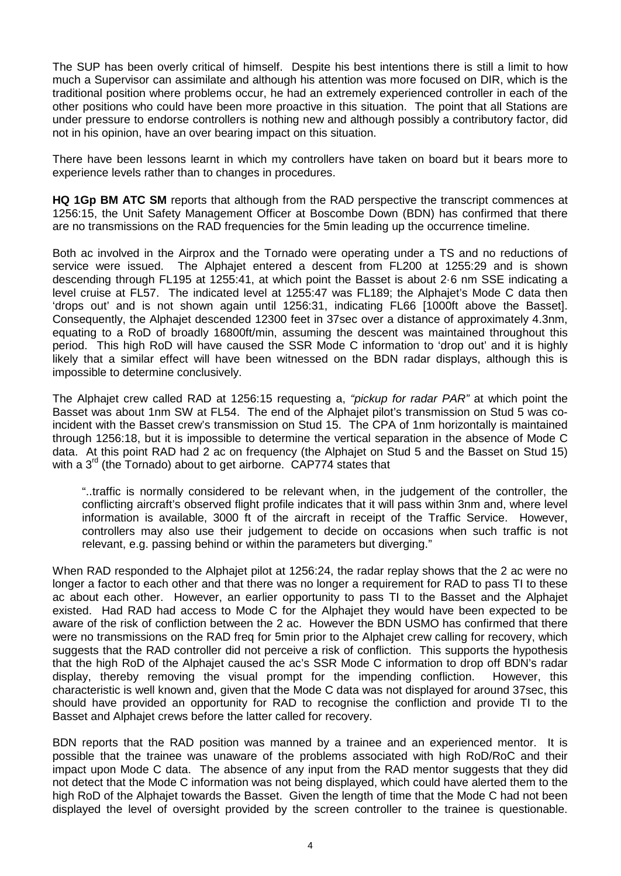The SUP has been overly critical of himself. Despite his best intentions there is still a limit to how much a Supervisor can assimilate and although his attention was more focused on DIR, which is the traditional position where problems occur, he had an extremely experienced controller in each of the other positions who could have been more proactive in this situation. The point that all Stations are under pressure to endorse controllers is nothing new and although possibly a contributory factor, did not in his opinion, have an over bearing impact on this situation.

There have been lessons learnt in which my controllers have taken on board but it bears more to experience levels rather than to changes in procedures.

**HQ 1Gp BM ATC SM** reports that although from the RAD perspective the transcript commences at 1256:15, the Unit Safety Management Officer at Boscombe Down (BDN) has confirmed that there are no transmissions on the RAD frequencies for the 5min leading up the occurrence timeline.

Both ac involved in the Airprox and the Tornado were operating under a TS and no reductions of service were issued. The Alphajet entered a descent from FL200 at 1255:29 and is shown descending through FL195 at 1255:41, at which point the Basset is about 2·6 nm SSE indicating a level cruise at FL57. The indicated level at 1255:47 was FL189; the Alphajet's Mode C data then 'drops out' and is not shown again until 1256:31, indicating FL66 [1000ft above the Basset]. Consequently, the Alphajet descended 12300 feet in 37sec over a distance of approximately 4.3nm, equating to a RoD of broadly 16800ft/min, assuming the descent was maintained throughout this period. This high RoD will have caused the SSR Mode C information to 'drop out' and it is highly likely that a similar effect will have been witnessed on the BDN radar displays, although this is impossible to determine conclusively.

The Alphajet crew called RAD at 1256:15 requesting a, *"pickup for radar PAR"* at which point the Basset was about 1nm SW at FL54. The end of the Alphajet pilot's transmission on Stud 5 was coincident with the Basset crew's transmission on Stud 15. The CPA of 1nm horizontally is maintained through 1256:18, but it is impossible to determine the vertical separation in the absence of Mode C data. At this point RAD had 2 ac on frequency (the Alphajet on Stud 5 and the Basset on Stud 15) with a  $3<sup>rd</sup>$  (the Tornado) about to get airborne. CAP774 states that

"..traffic is normally considered to be relevant when, in the judgement of the controller, the conflicting aircraft's observed flight profile indicates that it will pass within 3nm and, where level information is available, 3000 ft of the aircraft in receipt of the Traffic Service. However, controllers may also use their judgement to decide on occasions when such traffic is not relevant, e.g. passing behind or within the parameters but diverging."

When RAD responded to the Alphajet pilot at 1256:24, the radar replay shows that the 2 ac were no longer a factor to each other and that there was no longer a requirement for RAD to pass TI to these ac about each other. However, an earlier opportunity to pass TI to the Basset and the Alphajet existed. Had RAD had access to Mode C for the Alphajet they would have been expected to be aware of the risk of confliction between the 2 ac. However the BDN USMO has confirmed that there were no transmissions on the RAD freq for 5min prior to the Alphajet crew calling for recovery, which suggests that the RAD controller did not perceive a risk of confliction. This supports the hypothesis that the high RoD of the Alphajet caused the ac's SSR Mode C information to drop off BDN's radar display, thereby removing the visual prompt for the impending confliction. However, this characteristic is well known and, given that the Mode C data was not displayed for around 37sec, this should have provided an opportunity for RAD to recognise the confliction and provide TI to the Basset and Alphajet crews before the latter called for recovery.

BDN reports that the RAD position was manned by a trainee and an experienced mentor. It is possible that the trainee was unaware of the problems associated with high RoD/RoC and their impact upon Mode C data. The absence of any input from the RAD mentor suggests that they did not detect that the Mode C information was not being displayed, which could have alerted them to the high RoD of the Alphajet towards the Basset. Given the length of time that the Mode C had not been displayed the level of oversight provided by the screen controller to the trainee is questionable.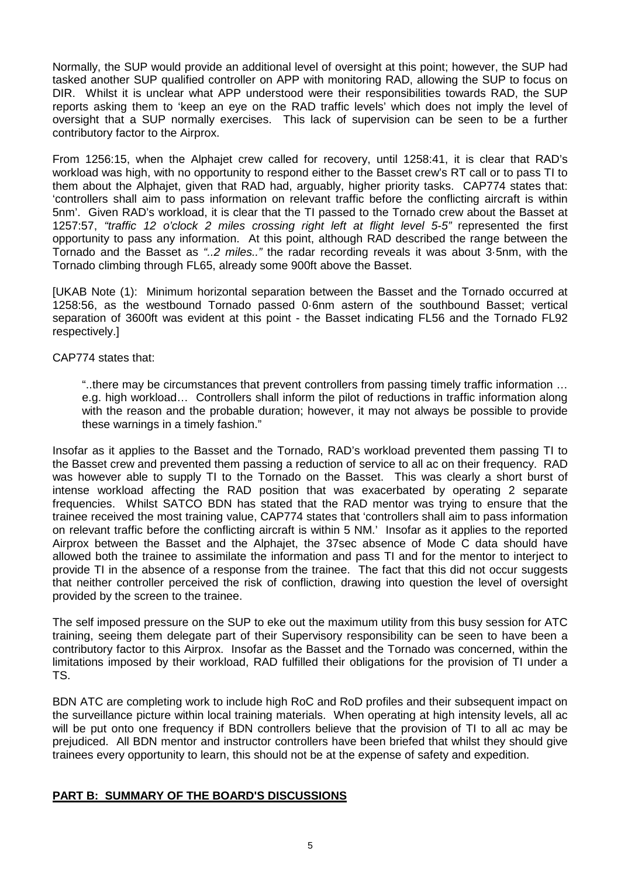Normally, the SUP would provide an additional level of oversight at this point; however, the SUP had tasked another SUP qualified controller on APP with monitoring RAD, allowing the SUP to focus on DIR. Whilst it is unclear what APP understood were their responsibilities towards RAD, the SUP reports asking them to 'keep an eye on the RAD traffic levels' which does not imply the level of oversight that a SUP normally exercises. This lack of supervision can be seen to be a further contributory factor to the Airprox.

From 1256:15, when the Alphajet crew called for recovery, until 1258:41, it is clear that RAD's workload was high, with no opportunity to respond either to the Basset crew's RT call or to pass TI to them about the Alphajet, given that RAD had, arguably, higher priority tasks. CAP774 states that: 'controllers shall aim to pass information on relevant traffic before the conflicting aircraft is within 5nm'. Given RAD's workload, it is clear that the TI passed to the Tornado crew about the Basset at 1257:57, *"traffic 12 o'clock 2 miles crossing right left at flight level 5-5"* represented the first opportunity to pass any information. At this point, although RAD described the range between the Tornado and the Basset as *"..2 miles.."* the radar recording reveals it was about 3·5nm, with the Tornado climbing through FL65, already some 900ft above the Basset.

[UKAB Note (1): Minimum horizontal separation between the Basset and the Tornado occurred at 1258:56, as the westbound Tornado passed 0·6nm astern of the southbound Basset; vertical separation of 3600ft was evident at this point - the Basset indicating FL56 and the Tornado FL92 respectively.]

CAP774 states that:

"..there may be circumstances that prevent controllers from passing timely traffic information … e.g. high workload… Controllers shall inform the pilot of reductions in traffic information along with the reason and the probable duration; however, it may not always be possible to provide these warnings in a timely fashion."

Insofar as it applies to the Basset and the Tornado, RAD's workload prevented them passing TI to the Basset crew and prevented them passing a reduction of service to all ac on their frequency. RAD was however able to supply TI to the Tornado on the Basset. This was clearly a short burst of intense workload affecting the RAD position that was exacerbated by operating 2 separate frequencies. Whilst SATCO BDN has stated that the RAD mentor was trying to ensure that the trainee received the most training value, CAP774 states that 'controllers shall aim to pass information on relevant traffic before the conflicting aircraft is within 5 NM.' Insofar as it applies to the reported Airprox between the Basset and the Alphajet, the 37sec absence of Mode C data should have allowed both the trainee to assimilate the information and pass TI and for the mentor to interject to provide TI in the absence of a response from the trainee. The fact that this did not occur suggests that neither controller perceived the risk of confliction, drawing into question the level of oversight provided by the screen to the trainee.

The self imposed pressure on the SUP to eke out the maximum utility from this busy session for ATC training, seeing them delegate part of their Supervisory responsibility can be seen to have been a contributory factor to this Airprox. Insofar as the Basset and the Tornado was concerned, within the limitations imposed by their workload, RAD fulfilled their obligations for the provision of TI under a TS.

BDN ATC are completing work to include high RoC and RoD profiles and their subsequent impact on the surveillance picture within local training materials. When operating at high intensity levels, all ac will be put onto one frequency if BDN controllers believe that the provision of TI to all ac may be prejudiced. All BDN mentor and instructor controllers have been briefed that whilst they should give trainees every opportunity to learn, this should not be at the expense of safety and expedition.

### **PART B: SUMMARY OF THE BOARD'S DISCUSSIONS**